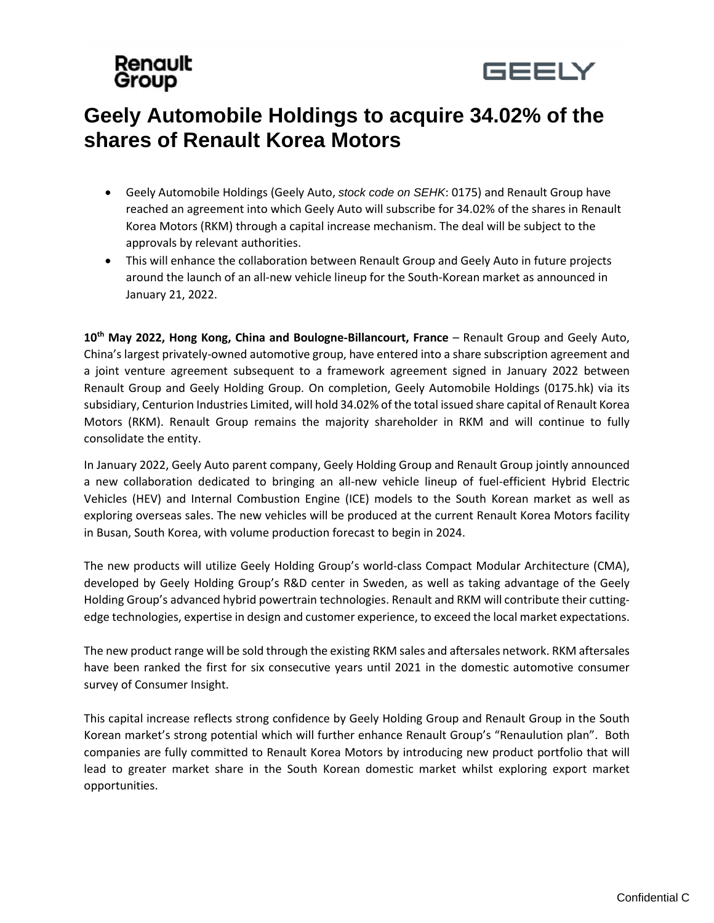# Renault Group



# **Geely Automobile Holdings to acquire 34.02% of the shares of Renault Korea Motors**

- Geely Automobile Holdings (Geely Auto, *stock code on SEHK*: 0175) and Renault Group have reached an agreement into which Geely Auto will subscribe for 34.02% of the shares in Renault Korea Motors (RKM) through a capital increase mechanism. The deal will be subject to the approvals by relevant authorities.
- This will enhance the collaboration between Renault Group and Geely Auto in future projects around the launch of an all-new vehicle lineup for the South-Korean market as announced in January 21, 2022.

**10th May 2022, Hong Kong, China and Boulogne-Billancourt, France** – Renault Group and Geely Auto, China's largest privately-owned automotive group, have entered into a share subscription agreement and a joint venture agreement subsequent to a framework agreement signed in January 2022 between Renault Group and Geely Holding Group. On completion, Geely Automobile Holdings (0175.hk) via its subsidiary, Centurion Industries Limited, will hold 34.02% of the total issued share capital of Renault Korea Motors (RKM). Renault Group remains the majority shareholder in RKM and will continue to fully consolidate the entity.

In January 2022, Geely Auto parent company, Geely Holding Group and Renault Group jointly announced a new collaboration dedicated to bringing an all-new vehicle lineup of fuel-efficient Hybrid Electric Vehicles (HEV) and Internal Combustion Engine (ICE) models to the South Korean market as well as exploring overseas sales. The new vehicles will be produced at the current Renault Korea Motors facility in Busan, South Korea, with volume production forecast to begin in 2024.

The new products will utilize Geely Holding Group's world-class Compact Modular Architecture (CMA), developed by Geely Holding Group's R&D center in Sweden, as well as taking advantage of the Geely Holding Group's advanced hybrid powertrain technologies. Renault and RKM will contribute their cuttingedge technologies, expertise in design and customer experience, to exceed the local market expectations.

The new product range will be sold through the existing RKM sales and aftersales network. RKM aftersales have been ranked the first for six consecutive years until 2021 in the domestic automotive consumer survey of Consumer Insight.

This capital increase reflects strong confidence by Geely Holding Group and Renault Group in the South Korean market's strong potential which will further enhance Renault Group's "Renaulution plan". Both companies are fully committed to Renault Korea Motors by introducing new product portfolio that will lead to greater market share in the South Korean domestic market whilst exploring export market opportunities.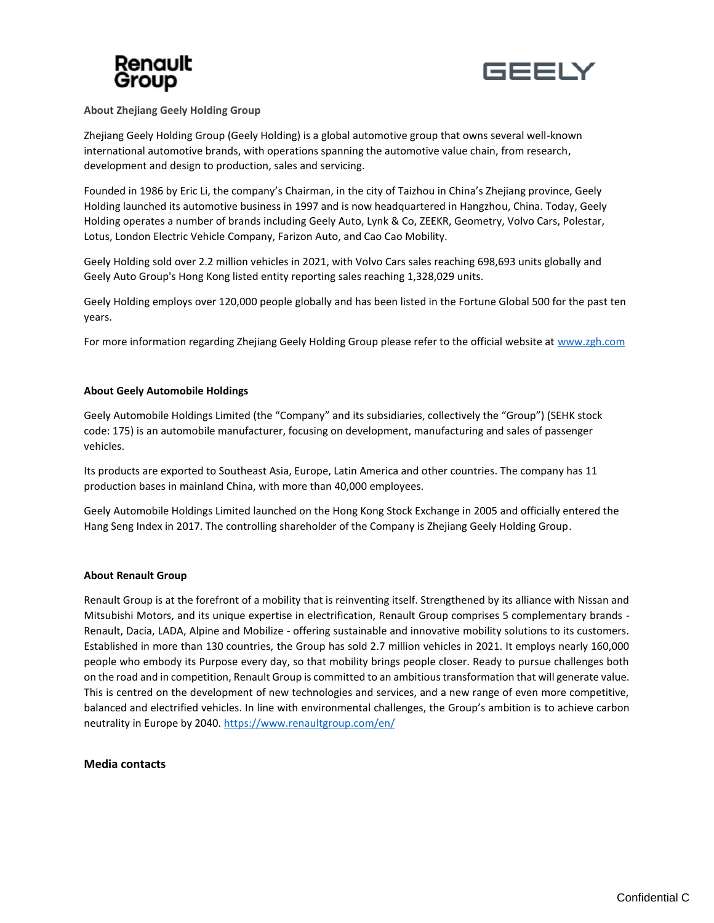



## **About Zhejiang Geely Holding Group**

Zhejiang Geely Holding Group (Geely Holding) is a global automotive group that owns several well-known international automotive brands, with operations spanning the automotive value chain, from research, development and design to production, sales and servicing.

Founded in 1986 by Eric Li, the company's Chairman, in the city of Taizhou in China's Zhejiang province, Geely Holding launched its automotive business in 1997 and is now headquartered in Hangzhou, China. Today, Geely Holding operates a number of brands including Geely Auto, Lynk & Co, ZEEKR, Geometry, Volvo Cars, Polestar, Lotus, London Electric Vehicle Company, Farizon Auto, and Cao Cao Mobility.

Geely Holding sold over 2.2 million vehicles in 2021, with Volvo Cars sales reaching 698,693 units globally and Geely Auto Group's Hong Kong listed entity reporting sales reaching 1,328,029 units.

Geely Holding employs over 120,000 people globally and has been listed in the Fortune Global 500 for the past ten years.

For more information regarding Zhejiang Geely Holding Group please refer to the official website at [www.zgh.com](http://www.zgh.com/)

# **About Geely Automobile Holdings**

Geely Automobile Holdings Limited (the "Company" and its subsidiaries, collectively the "Group") (SEHK stock code: 175) is an automobile manufacturer, focusing on development, manufacturing and sales of passenger vehicles.

Its products are exported to Southeast Asia, Europe, Latin America and other countries. The company has 11 production bases in mainland China, with more than 40,000 employees.

Geely Automobile Holdings Limited launched on the Hong Kong Stock Exchange in 2005 and officially entered the Hang Seng Index in 2017. The controlling shareholder of the Company is Zhejiang Geely Holding Group.

## **About Renault Group**

Renault Group is at the forefront of a mobility that is reinventing itself. Strengthened by its alliance with Nissan and Mitsubishi Motors, and its unique expertise in electrification, Renault Group comprises 5 complementary brands - Renault, Dacia, LADA, Alpine and Mobilize - offering sustainable and innovative mobility solutions to its customers. Established in more than 130 countries, the Group has sold 2.7 million vehicles in 2021. It employs nearly 160,000 people who embody its Purpose every day, so that mobility brings people closer. Ready to pursue challenges both on the road and in competition, Renault Group is committed to an ambitious transformation that will generate value. This is centred on the development of new technologies and services, and a new range of even more competitive, balanced and electrified vehicles. In line with environmental challenges, the Group's ambition is to achieve carbon neutrality in Europe by 2040.<https://www.renaultgroup.com/en/>

## **Media contacts**